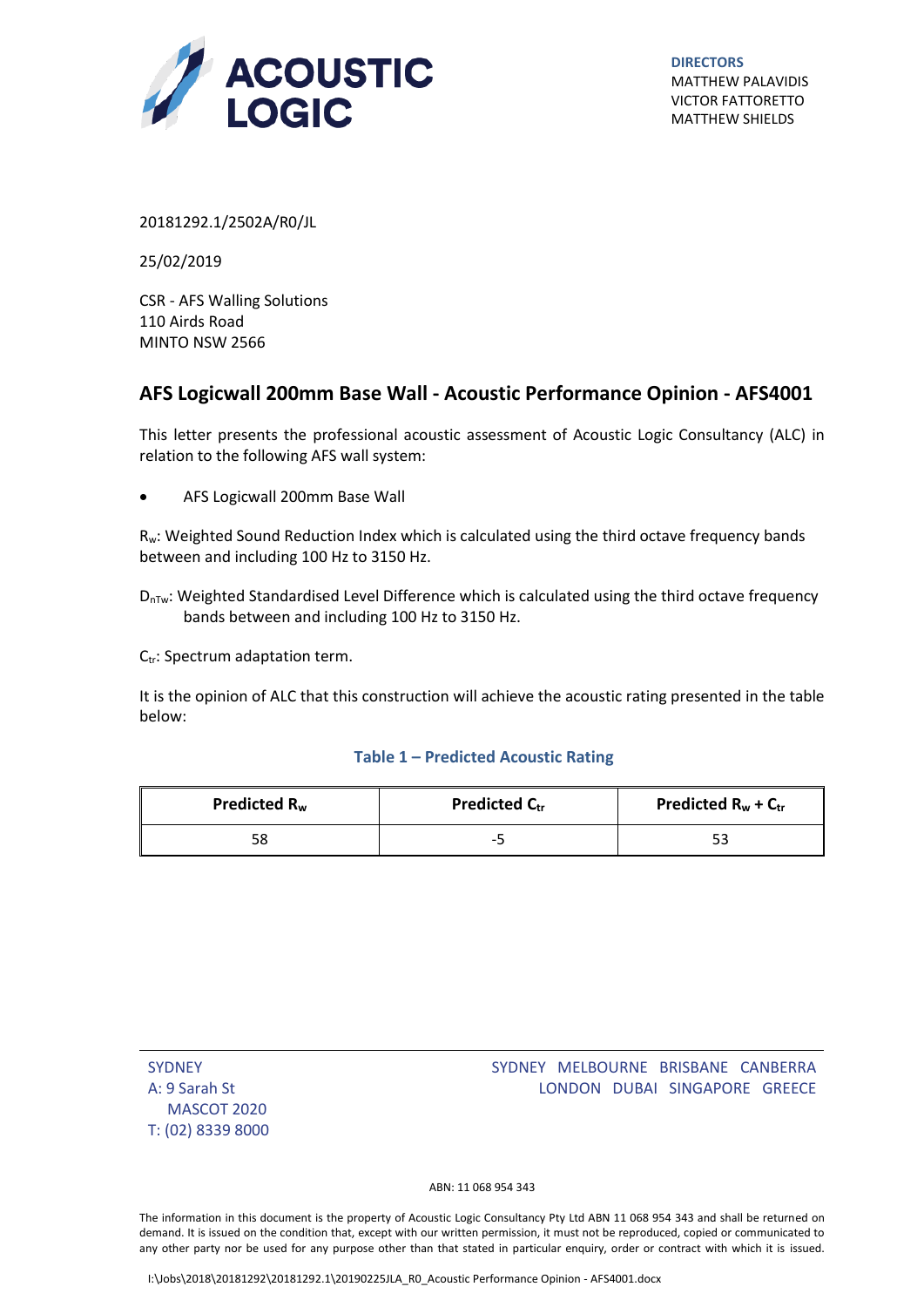

**DIRECTORS** MATTHEW PALAVIDIS VICTOR FATTORETTO MATTHEW SHIELDS

20181292.1/2502A/R0/JL

25/02/2019

CSR - AFS Walling Solutions 110 Airds Road MINTO NSW 2566

## $\overline{\mathbf{G}}$ **AFS Logicwall 200mm Base Wall - Acoustic Performance Opinion - AFS4001**

This letter presents the professional acoustic assessment of Acoustic Logic Consultancy (ALC) in relation to the following AFS wall system:

AFS Logicwall 200mm Base Wall

Rw: Weighted Sound Reduction Index which is calculated using the third octave frequency bands between and including 100 Hz to 3150 Hz.

 $D_{\text{nTw}}$ : Weighted Standardised Level Difference which is calculated using the third octave frequency bands between and including 100 Hz to 3150 Hz.

 $C_{tr}$ : Spectrum adaptation term.

It is the opinion of ALC that this construction will achieve the acoustic rating presented in the table below:

## **Table 1 – Predicted Acoustic Rating**

| Predicted R <sub>w</sub> | <b>Predicted Ctr</b> | Predicted $R_w + C_{tr}$ |
|--------------------------|----------------------|--------------------------|
|                          | $-$                  |                          |

| <b>SYDNEY</b>     |
|-------------------|
| A: 9 Sarah St     |
| MASCOT 2020       |
| T: (02) 8339 8000 |

## SYDNEY MELBOURNE BRISBANE CANBERRA LONDON DUBAI SINGAPORE GREECE

ABN: 11 068 954 343

The information in this document is the property of Acoustic Logic Consultancy Pty Ltd ABN 11 068 954 343 and shall be returned on demand. It is issued on the condition that, except with our written permission, it must not be reproduced, copied or communicated to any other party nor be used for any purpose other than that stated in particular enquiry, order or contract with which it is issued.